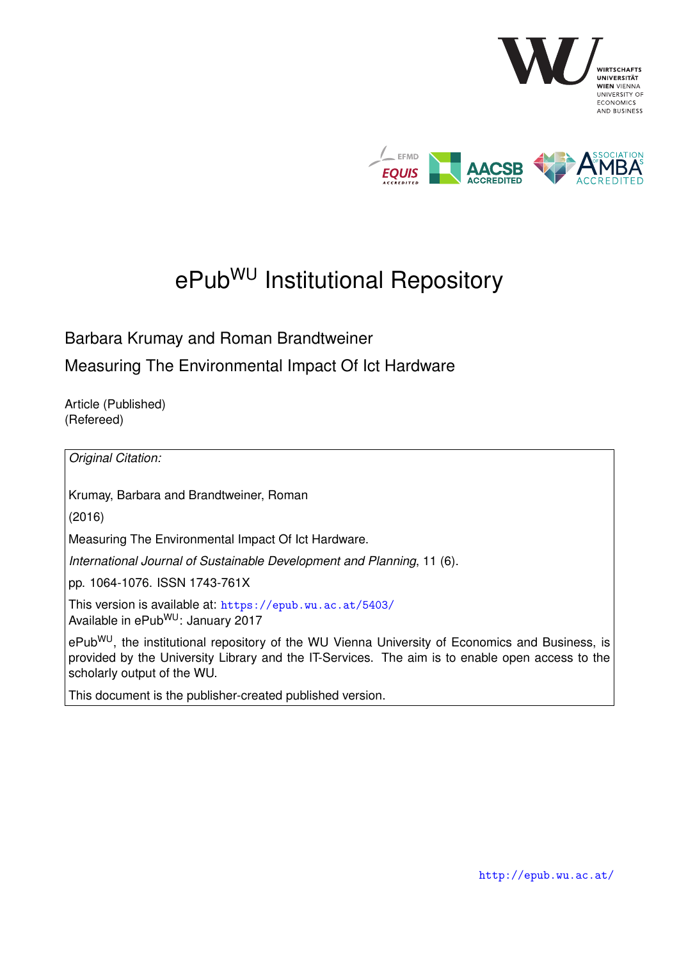

# ePub<sup>WU</sup> Institutional Repository

Barbara Krumay and Roman Brandtweiner

Measuring The Environmental Impact Of Ict Hardware

Article (Published) (Refereed)

*Original Citation:*

Krumay, Barbara and Brandtweiner, Roman

(2016)

Measuring The Environmental Impact Of Ict Hardware.

*International Journal of Sustainable Development and Planning*, 11 (6).

pp. 1064-1076. ISSN 1743-761X

This version is available at: <https://epub.wu.ac.at/5403/> Available in ePubWU: January 2017

ePub<sup>WU</sup>, the institutional repository of the WU Vienna University of Economics and Business, is provided by the University Library and the IT-Services. The aim is to enable open access to the scholarly output of the WU.

This document is the publisher-created published version.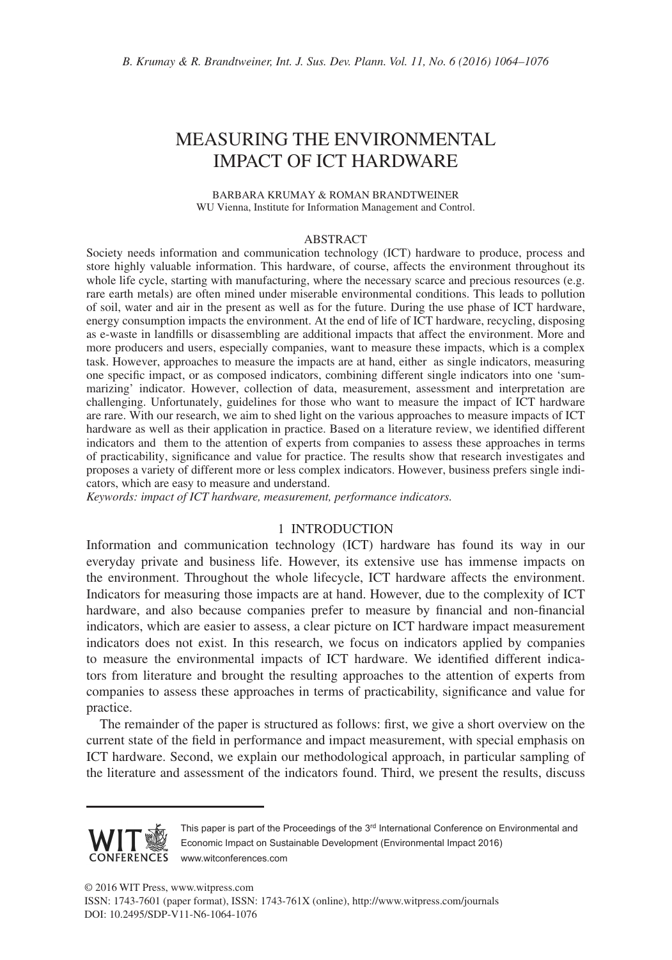# MEASURING THE ENVIRONMENTAL IMPACT OF ICT HARDWARE

BARBARA KRUMAY & ROMAN BRANDTWEINER WU Vienna, Institute for Information Management and Control.

#### ABSTRACT

Society needs information and communication technology (ICT) hardware to produce, process and store highly valuable information. This hardware, of course, affects the environment throughout its whole life cycle, starting with manufacturing, where the necessary scarce and precious resources (e.g. rare earth metals) are often mined under miserable environmental conditions. This leads to pollution of soil, water and air in the present as well as for the future. During the use phase of ICT hardware, energy consumption impacts the environment. At the end of life of ICT hardware, recycling, disposing as e-waste in landfills or disassembling are additional impacts that affect the environment. More and more producers and users, especially companies, want to measure these impacts, which is a complex task. However, approaches to measure the impacts are at hand, either as single indicators, measuring one specific impact, or as composed indicators, combining different single indicators into one 'summarizing' indicator. However, collection of data, measurement, assessment and interpretation are challenging. Unfortunately, guidelines for those who want to measure the impact of ICT hardware are rare. With our research, we aim to shed light on the various approaches to measure impacts of ICT hardware as well as their application in practice. Based on a literature review, we identified different indicators and them to the attention of experts from companies to assess these approaches in terms of practicability, significance and value for practice. The results show that research investigates and proposes a variety of different more or less complex indicators. However, business prefers single indicators, which are easy to measure and understand.

*Keywords: impact of ICT hardware, measurement, performance indicators.*

### 1 INTRODUCTION

Information and communication technology (ICT) hardware has found its way in our everyday private and business life. However, its extensive use has immense impacts on the environment. Throughout the whole lifecycle, ICT hardware affects the environment. Indicators for measuring those impacts are at hand. However, due to the complexity of ICT hardware, and also because companies prefer to measure by financial and non-financial indicators, which are easier to assess, a clear picture on ICT hardware impact measurement indicators does not exist. In this research, we focus on indicators applied by companies to measure the environmental impacts of ICT hardware. We identified different indicators from literature and brought the resulting approaches to the attention of experts from companies to assess these approaches in terms of practicability, significance and value for practice.

The remainder of the paper is structured as follows: first, we give a short overview on the current state of the field in performance and impact measurement, with special emphasis on ICT hardware. Second, we explain our methodological approach, in particular sampling of the literature and assessment of the indicators found. Third, we present the results, discuss



This paper is part of the Proceedings of the 3<sup>rd</sup> International Conference on Environmental and Economic Impact on Sustainable Development (Environmental Impact 2016) www.witconferences.com

© 2016 WIT Press, www.witpress.com ISSN: 1743-7601 (paper format), ISSN: 1743-761X (online), http://www.witpress.com/journals DOI: 10.2495/SDP-V11-N6-1064-1076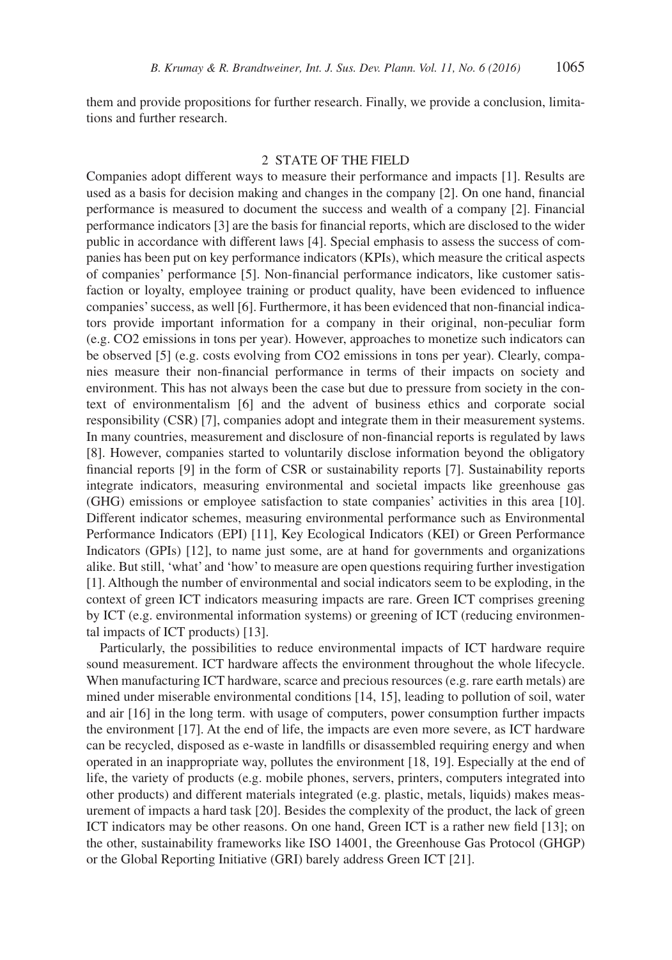them and provide propositions for further research. Finally, we provide a conclusion, limitations and further research.

### 2 STATE OF THE FIELD

Companies adopt different ways to measure their performance and impacts [1]. Results are used as a basis for decision making and changes in the company [2]. On one hand, financial performance is measured to document the success and wealth of a company [2]. Financial performance indicators [3] are the basis for financial reports, which are disclosed to the wider public in accordance with different laws [4]. Special emphasis to assess the success of companies has been put on key performance indicators (KPIs), which measure the critical aspects of companies' performance [5]. Non-financial performance indicators, like customer satisfaction or loyalty, employee training or product quality, have been evidenced to influence companies' success, as well [6]. Furthermore, it has been evidenced that non-financial indicators provide important information for a company in their original, non-peculiar form (e.g. CO2 emissions in tons per year). However, approaches to monetize such indicators can be observed [5] (e.g. costs evolving from CO2 emissions in tons per year). Clearly, companies measure their non-financial performance in terms of their impacts on society and environment. This has not always been the case but due to pressure from society in the context of environmentalism [6] and the advent of business ethics and corporate social responsibility (CSR) [7], companies adopt and integrate them in their measurement systems. In many countries, measurement and disclosure of non-financial reports is regulated by laws [8]. However, companies started to voluntarily disclose information beyond the obligatory financial reports [9] in the form of CSR or sustainability reports [7]. Sustainability reports integrate indicators, measuring environmental and societal impacts like greenhouse gas (GHG) emissions or employee satisfaction to state companies' activities in this area [10]. Different indicator schemes, measuring environmental performance such as Environmental Performance Indicators (EPI) [11], Key Ecological Indicators (KEI) or Green Performance Indicators (GPIs) [12], to name just some, are at hand for governments and organizations alike. But still, 'what' and 'how' to measure are open questions requiring further investigation [1]. Although the number of environmental and social indicators seem to be exploding, in the context of green ICT indicators measuring impacts are rare. Green ICT comprises greening by ICT (e.g. environmental information systems) or greening of ICT (reducing environmental impacts of ICT products) [13].

Particularly, the possibilities to reduce environmental impacts of ICT hardware require sound measurement. ICT hardware affects the environment throughout the whole lifecycle. When manufacturing ICT hardware, scarce and precious resources (e.g. rare earth metals) are mined under miserable environmental conditions [14, 15], leading to pollution of soil, water and air [16] in the long term. with usage of computers, power consumption further impacts the environment [17]. At the end of life, the impacts are even more severe, as ICT hardware can be recycled, disposed as e-waste in landfills or disassembled requiring energy and when operated in an inappropriate way, pollutes the environment [18, 19]. Especially at the end of life, the variety of products (e.g. mobile phones, servers, printers, computers integrated into other products) and different materials integrated (e.g. plastic, metals, liquids) makes measurement of impacts a hard task [20]. Besides the complexity of the product, the lack of green ICT indicators may be other reasons. On one hand, Green ICT is a rather new field [13]; on the other, sustainability frameworks like ISO 14001, the Greenhouse Gas Protocol (GHGP) or the Global Reporting Initiative (GRI) barely address Green ICT [21].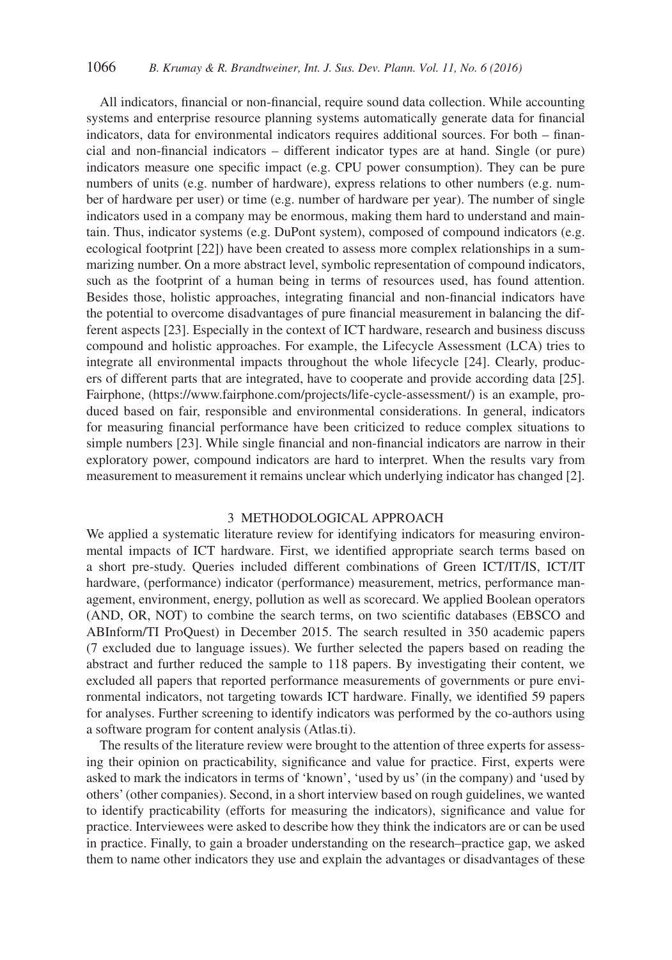All indicators, financial or non-financial, require sound data collection. While accounting systems and enterprise resource planning systems automatically generate data for financial indicators, data for environmental indicators requires additional sources. For both – financial and non-financial indicators – different indicator types are at hand. Single (or pure) indicators measure one specific impact (e.g. CPU power consumption). They can be pure numbers of units (e.g. number of hardware), express relations to other numbers (e.g. number of hardware per user) or time (e.g. number of hardware per year). The number of single indicators used in a company may be enormous, making them hard to understand and maintain. Thus, indicator systems (e.g. DuPont system), composed of compound indicators (e.g. ecological footprint [22]) have been created to assess more complex relationships in a summarizing number. On a more abstract level, symbolic representation of compound indicators, such as the footprint of a human being in terms of resources used, has found attention. Besides those, holistic approaches, integrating financial and non-financial indicators have the potential to overcome disadvantages of pure financial measurement in balancing the different aspects [23]. Especially in the context of ICT hardware, research and business discuss compound and holistic approaches. For example, the Lifecycle Assessment (LCA) tries to integrate all environmental impacts throughout the whole lifecycle [24]. Clearly, producers of different parts that are integrated, have to cooperate and provide according data [25]. Fairphone, (https://www.fairphone.com/projects/life-cycle-assessment/) is an example, produced based on fair, responsible and environmental considerations. In general, indicators for measuring financial performance have been criticized to reduce complex situations to simple numbers [23]. While single financial and non-financial indicators are narrow in their exploratory power, compound indicators are hard to interpret. When the results vary from measurement to measurement it remains unclear which underlying indicator has changed [2].

## 3 METHODOLOGICAL APPROACH

We applied a systematic literature review for identifying indicators for measuring environmental impacts of ICT hardware. First, we identified appropriate search terms based on a short pre-study. Queries included different combinations of Green ICT/IT/IS, ICT/IT hardware, (performance) indicator (performance) measurement, metrics, performance management, environment, energy, pollution as well as scorecard. We applied Boolean operators (AND, OR, NOT) to combine the search terms, on two scientific databases (EBSCO and ABInform/TI ProQuest) in December 2015. The search resulted in 350 academic papers (7 excluded due to language issues). We further selected the papers based on reading the abstract and further reduced the sample to 118 papers. By investigating their content, we excluded all papers that reported performance measurements of governments or pure environmental indicators, not targeting towards ICT hardware. Finally, we identified 59 papers for analyses. Further screening to identify indicators was performed by the co-authors using a software program for content analysis (Atlas.ti).

The results of the literature review were brought to the attention of three experts for assessing their opinion on practicability, significance and value for practice. First, experts were asked to mark the indicators in terms of 'known', 'used by us' (in the company) and 'used by others' (other companies). Second, in a short interview based on rough guidelines, we wanted to identify practicability (efforts for measuring the indicators), significance and value for practice. Interviewees were asked to describe how they think the indicators are or can be used in practice. Finally, to gain a broader understanding on the research–practice gap, we asked them to name other indicators they use and explain the advantages or disadvantages of these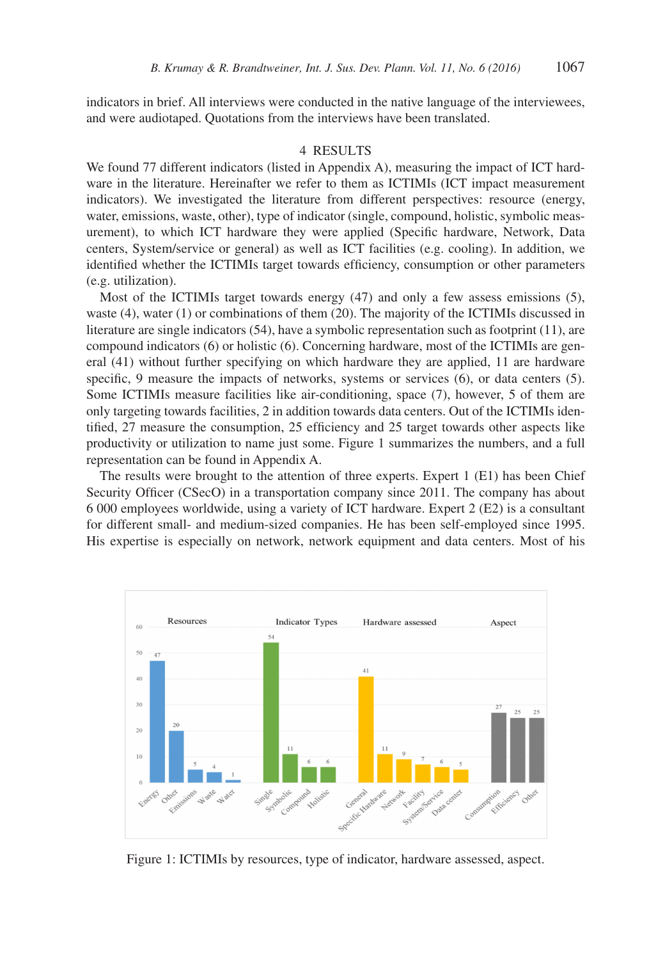indicators in brief. All interviews were conducted in the native language of the interviewees, and were audiotaped. Quotations from the interviews have been translated.

### 4 RESULTS

We found 77 different indicators (listed in Appendix A), measuring the impact of ICT hardware in the literature. Hereinafter we refer to them as ICTIMIs (ICT impact measurement indicators). We investigated the literature from different perspectives: resource (energy, water, emissions, waste, other), type of indicator (single, compound, holistic, symbolic measurement), to which ICT hardware they were applied (Specific hardware, Network, Data centers, System/service or general) as well as ICT facilities (e.g. cooling). In addition, we identified whether the ICTIMIs target towards efficiency, consumption or other parameters (e.g. utilization).

Most of the ICTIMIs target towards energy (47) and only a few assess emissions (5), waste (4), water (1) or combinations of them (20). The majority of the ICTIMIs discussed in literature are single indicators (54), have a symbolic representation such as footprint (11), are compound indicators (6) or holistic (6). Concerning hardware, most of the ICTIMIs are general (41) without further specifying on which hardware they are applied, 11 are hardware specific, 9 measure the impacts of networks, systems or services (6), or data centers (5). Some ICTIMIs measure facilities like air-conditioning, space (7), however, 5 of them are only targeting towards facilities, 2 in addition towards data centers. Out of the ICTIMIs identified, 27 measure the consumption, 25 efficiency and 25 target towards other aspects like productivity or utilization to name just some. Figure 1 summarizes the numbers, and a full representation can be found in Appendix A.

The results were brought to the attention of three experts. Expert 1 (E1) has been Chief Security Officer (CSecO) in a transportation company since 2011. The company has about 6 000 employees worldwide, using a variety of ICT hardware. Expert 2 (E2) is a consultant for different small- and medium-sized companies. He has been self-employed since 1995. His expertise is especially on network, network equipment and data centers. Most of his



Figure 1: ICTIMIs by resources, type of indicator, hardware assessed, aspect.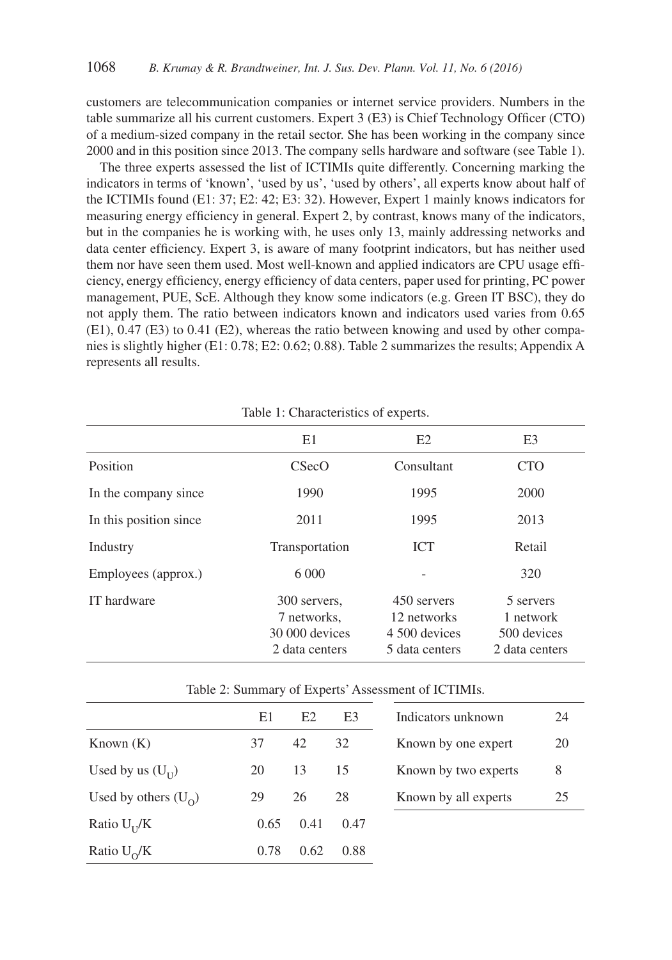customers are telecommunication companies or internet service providers. Numbers in the table summarize all his current customers. Expert 3 (E3) is Chief Technology Officer (CTO) of a medium-sized company in the retail sector. She has been working in the company since 2000 and in this position since 2013. The company sells hardware and software (see Table 1).

The three experts assessed the list of ICTIMIs quite differently. Concerning marking the indicators in terms of 'known', 'used by us', 'used by others', all experts know about half of the ICTIMIs found (E1: 37; E2: 42; E3: 32). However, Expert 1 mainly knows indicators for measuring energy efficiency in general. Expert 2, by contrast, knows many of the indicators, but in the companies he is working with, he uses only 13, mainly addressing networks and data center efficiency. Expert 3, is aware of many footprint indicators, but has neither used them nor have seen them used. Most well-known and applied indicators are CPU usage efficiency, energy efficiency, energy efficiency of data centers, paper used for printing, PC power management, PUE, ScE. Although they know some indicators (e.g. Green IT BSC), they do not apply them. The ratio between indicators known and indicators used varies from 0.65 (E1), 0.47 (E3) to 0.41 (E2), whereas the ratio between knowing and used by other companies is slightly higher (E1: 0.78; E2: 0.62; 0.88). Table 2 summarizes the results; Appendix A represents all results.

|                        | E1                                                              | E2                                                            | E <sub>3</sub>                                          |
|------------------------|-----------------------------------------------------------------|---------------------------------------------------------------|---------------------------------------------------------|
| Position               | CSecO                                                           | Consultant                                                    | <b>CTO</b>                                              |
| In the company since   | 1990                                                            | 1995                                                          | 2000                                                    |
| In this position since | 2011                                                            | 1995                                                          | 2013                                                    |
| Industry               | Transportation                                                  | <b>ICT</b>                                                    | Retail                                                  |
| Employees (approx.)    | 6 000                                                           |                                                               | 320                                                     |
| IT hardware            | 300 servers,<br>7 networks,<br>30 000 devices<br>2 data centers | 450 servers<br>12 networks<br>4 500 devices<br>5 data centers | 5 servers<br>1 network<br>500 devices<br>2 data centers |

| Table 2: Summary of Experts' Assessment of ICTIMIs. |  |  |  |
|-----------------------------------------------------|--|--|--|
|-----------------------------------------------------|--|--|--|

|                        | E1   | E2   | E3   | Indicators unknown   | 24 |
|------------------------|------|------|------|----------------------|----|
| Known $(K)$            | 37   | 42   | 32   | Known by one expert  | 20 |
| Used by us $(U_{II})$  | 20   | 13   | 15   | Known by two experts | 8  |
| Used by others $(U_0)$ | 29   | 26   | 28   | Known by all experts | 25 |
| Ratio $U_{II}/K$       | 0.65 | 0.41 | 0.47 |                      |    |
| Ratio $U_0/K$          | 0.78 | 0.62 | 0.88 |                      |    |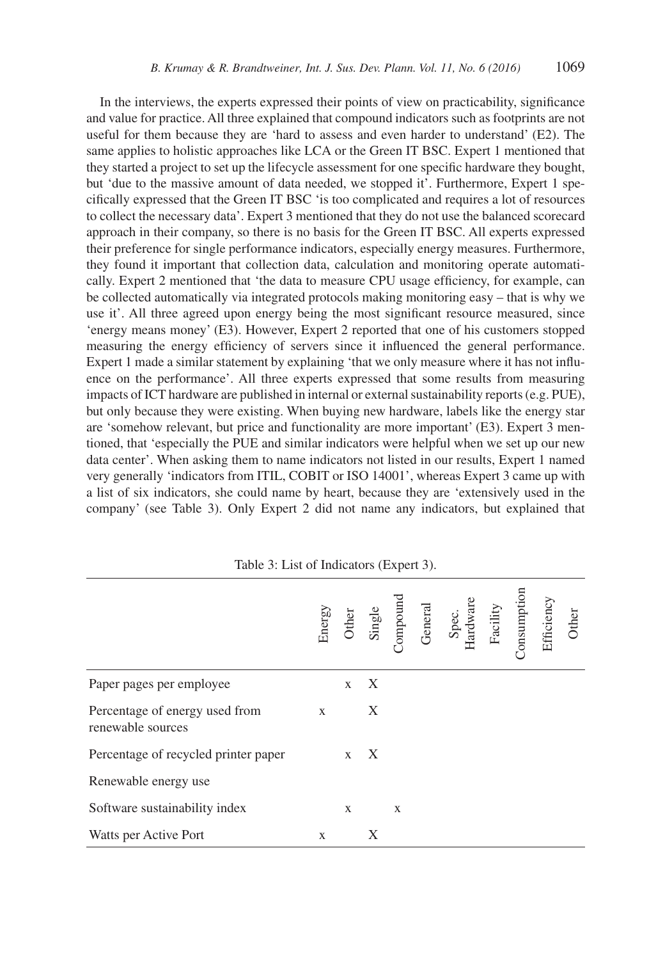In the interviews, the experts expressed their points of view on practicability, significance and value for practice. All three explained that compound indicators such as footprints are not useful for them because they are 'hard to assess and even harder to understand' (E2). The same applies to holistic approaches like LCA or the Green IT BSC. Expert 1 mentioned that they started a project to set up the lifecycle assessment for one specific hardware they bought, but 'due to the massive amount of data needed, we stopped it'. Furthermore, Expert 1 specifically expressed that the Green IT BSC 'is too complicated and requires a lot of resources to collect the necessary data'. Expert 3 mentioned that they do not use the balanced scorecard approach in their company, so there is no basis for the Green IT BSC. All experts expressed their preference for single performance indicators, especially energy measures. Furthermore, they found it important that collection data, calculation and monitoring operate automatically. Expert 2 mentioned that 'the data to measure CPU usage efficiency, for example, can be collected automatically via integrated protocols making monitoring easy – that is why we use it'. All three agreed upon energy being the most significant resource measured, since 'energy means money' (E3). However, Expert 2 reported that one of his customers stopped measuring the energy efficiency of servers since it influenced the general performance. Expert 1 made a similar statement by explaining 'that we only measure where it has not influence on the performance'. All three experts expressed that some results from measuring impacts of ICT hardware are published in internal or external sustainability reports (e.g. PUE), but only because they were existing. When buying new hardware, labels like the energy star are 'somehow relevant, but price and functionality are more important' (E3). Expert 3 mentioned, that 'especially the PUE and similar indicators were helpful when we set up our new data center'. When asking them to name indicators not listed in our results, Expert 1 named very generally 'indicators from ITIL, COBIT or ISO 14001', whereas Expert 3 came up with a list of six indicators, she could name by heart, because they are 'extensively used in the company' (see Table 3). Only Expert 2 did not name any indicators, but explained that

|                                                     |              |              |              |   | Energy<br>Other<br>Single<br>Single<br>Compound<br>General<br>Hardware<br>Hardware<br>Facility<br>Facility<br>Consumption<br>Consumption |  |  |
|-----------------------------------------------------|--------------|--------------|--------------|---|------------------------------------------------------------------------------------------------------------------------------------------|--|--|
| Paper pages per employee                            |              | $\mathbf{X}$ | $\mathbf{X}$ |   |                                                                                                                                          |  |  |
| Percentage of energy used from<br>renewable sources | $\mathbf{X}$ |              | X            |   |                                                                                                                                          |  |  |
| Percentage of recycled printer paper                |              |              | $X \times X$ |   |                                                                                                                                          |  |  |
| Renewable energy use                                |              |              |              |   |                                                                                                                                          |  |  |
| Software sustainability index                       |              | X            |              | X |                                                                                                                                          |  |  |
| Watts per Active Port                               | X            |              |              |   |                                                                                                                                          |  |  |

Table 3: List of Indicators (Expert 3).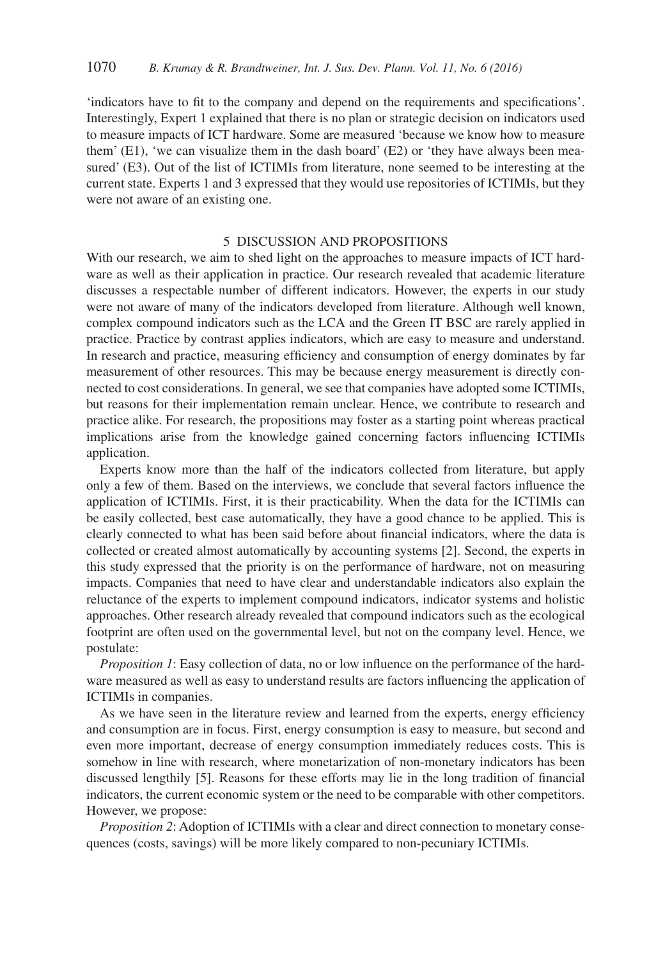'indicators have to fit to the company and depend on the requirements and specifications'. Interestingly, Expert 1 explained that there is no plan or strategic decision on indicators used to measure impacts of ICT hardware. Some are measured 'because we know how to measure them' (E1), 'we can visualize them in the dash board' (E2) or 'they have always been measured' (E3). Out of the list of ICTIMIs from literature, none seemed to be interesting at the current state. Experts 1 and 3 expressed that they would use repositories of ICTIMIs, but they were not aware of an existing one.

#### 5 DISCUSSION AND PROPOSITIONS

With our research, we aim to shed light on the approaches to measure impacts of ICT hardware as well as their application in practice. Our research revealed that academic literature discusses a respectable number of different indicators. However, the experts in our study were not aware of many of the indicators developed from literature. Although well known, complex compound indicators such as the LCA and the Green IT BSC are rarely applied in practice. Practice by contrast applies indicators, which are easy to measure and understand. In research and practice, measuring efficiency and consumption of energy dominates by far measurement of other resources. This may be because energy measurement is directly connected to cost considerations. In general, we see that companies have adopted some ICTIMIs, but reasons for their implementation remain unclear. Hence, we contribute to research and practice alike. For research, the propositions may foster as a starting point whereas practical implications arise from the knowledge gained concerning factors influencing ICTIMIs application.

Experts know more than the half of the indicators collected from literature, but apply only a few of them. Based on the interviews, we conclude that several factors influence the application of ICTIMIs. First, it is their practicability. When the data for the ICTIMIs can be easily collected, best case automatically, they have a good chance to be applied. This is clearly connected to what has been said before about financial indicators, where the data is collected or created almost automatically by accounting systems [2]. Second, the experts in this study expressed that the priority is on the performance of hardware, not on measuring impacts. Companies that need to have clear and understandable indicators also explain the reluctance of the experts to implement compound indicators, indicator systems and holistic approaches. Other research already revealed that compound indicators such as the ecological footprint are often used on the governmental level, but not on the company level. Hence, we postulate:

*Proposition 1*: Easy collection of data, no or low influence on the performance of the hardware measured as well as easy to understand results are factors influencing the application of ICTIMIs in companies.

As we have seen in the literature review and learned from the experts, energy efficiency and consumption are in focus. First, energy consumption is easy to measure, but second and even more important, decrease of energy consumption immediately reduces costs. This is somehow in line with research, where monetarization of non-monetary indicators has been discussed lengthily [5]. Reasons for these efforts may lie in the long tradition of financial indicators, the current economic system or the need to be comparable with other competitors. However, we propose:

*Proposition 2*: Adoption of ICTIMIs with a clear and direct connection to monetary consequences (costs, savings) will be more likely compared to non-pecuniary ICTIMIs.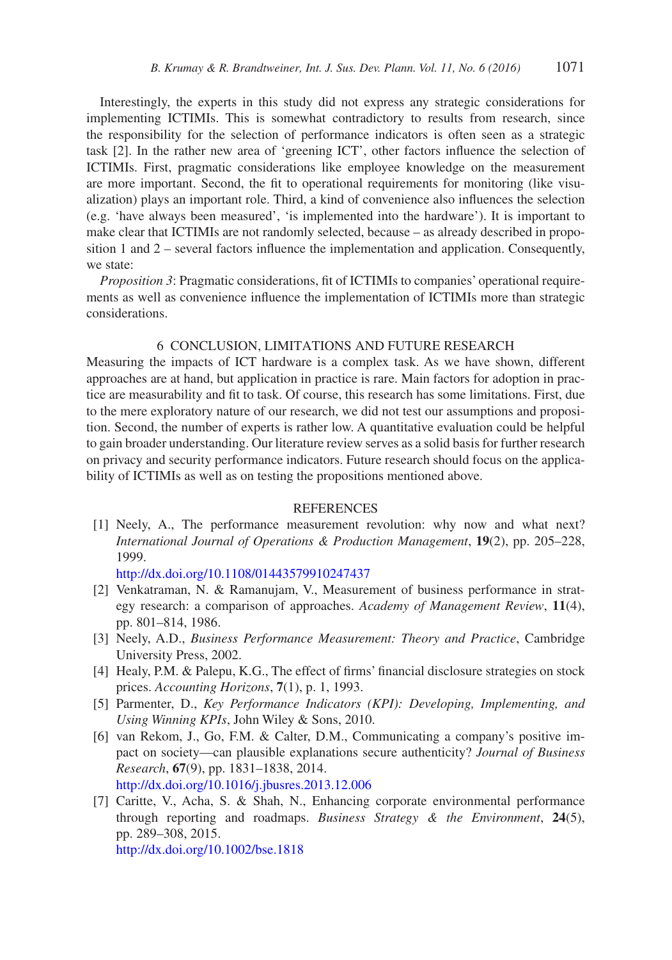Interestingly, the experts in this study did not express any strategic considerations for implementing ICTIMIs. This is somewhat contradictory to results from research, since the responsibility for the selection of performance indicators is often seen as a strategic task [2]. In the rather new area of 'greening ICT', other factors influence the selection of ICTIMIs. First, pragmatic considerations like employee knowledge on the measurement are more important. Second, the fit to operational requirements for monitoring (like visualization) plays an important role. Third, a kind of convenience also influences the selection (e.g. 'have always been measured', 'is implemented into the hardware'). It is important to make clear that ICTIMIs are not randomly selected, because – as already described in proposition 1 and 2 – several factors influence the implementation and application. Consequently, we state:

*Proposition 3*: Pragmatic considerations, fit of ICTIMIs to companies' operational requirements as well as convenience influence the implementation of ICTIMIs more than strategic considerations.

### 6 CONCLUSION, LIMITATIONS AND FUTURE RESEARCH

Measuring the impacts of ICT hardware is a complex task. As we have shown, different approaches are at hand, but application in practice is rare. Main factors for adoption in practice are measurability and fit to task. Of course, this research has some limitations. First, due to the mere exploratory nature of our research, we did not test our assumptions and proposition. Second, the number of experts is rather low. A quantitative evaluation could be helpful to gain broader understanding. Our literature review serves as a solid basis for further research on privacy and security performance indicators. Future research should focus on the applicability of ICTIMIs as well as on testing the propositions mentioned above.

#### REFERENCES

[1] Neely, A., The performance measurement revolution: why now and what next? *International Journal of Operations & Production Management*, **19**(2), pp. 205–228, 1999.

[http://dx.doi.org/10.1108/01443579910247437](http://dx.doi.org/10.1108/01443579910247437
)

- [2] Venkatraman, N. & Ramanujam, V., Measurement of business performance in strategy research: a comparison of approaches. *Academy of Management Review*, **11**(4), pp. 801–814, 1986.
- [3] Neely, A.D., *Business Performance Measurement: Theory and Practice*, Cambridge University Press, 2002.
- [4] Healy, P.M. & Palepu, K.G., The effect of firms' financial disclosure strategies on stock prices. *Accounting Horizons*, **7**(1), p. 1, 1993.
- [5] Parmenter, D., *Key Performance Indicators (KPI): Developing, Implementing, and Using Winning KPIs*, John Wiley & Sons, 2010.
- [6] van Rekom, J., Go, F.M. & Calter, D.M., Communicating a company's positive impact on society—can plausible explanations secure authenticity? *Journal of Business Research*, **67**(9), pp. 1831–1838, 2014. [http://dx.doi.org/10.1016/j.jbusres.2013.12.006](http://dx.doi.org/10.1016/j.jbusres.2013.12.006
)
- [7] Caritte, V., Acha, S. & Shah, N., Enhancing corporate environmental performance through reporting and roadmaps. *Business Strategy & the Environment*, **24**(5), pp. 289–308, 2015. [http://dx.doi.org/10.1002/bse.1818](http://dx.doi.org/10.1002/bse.1818
)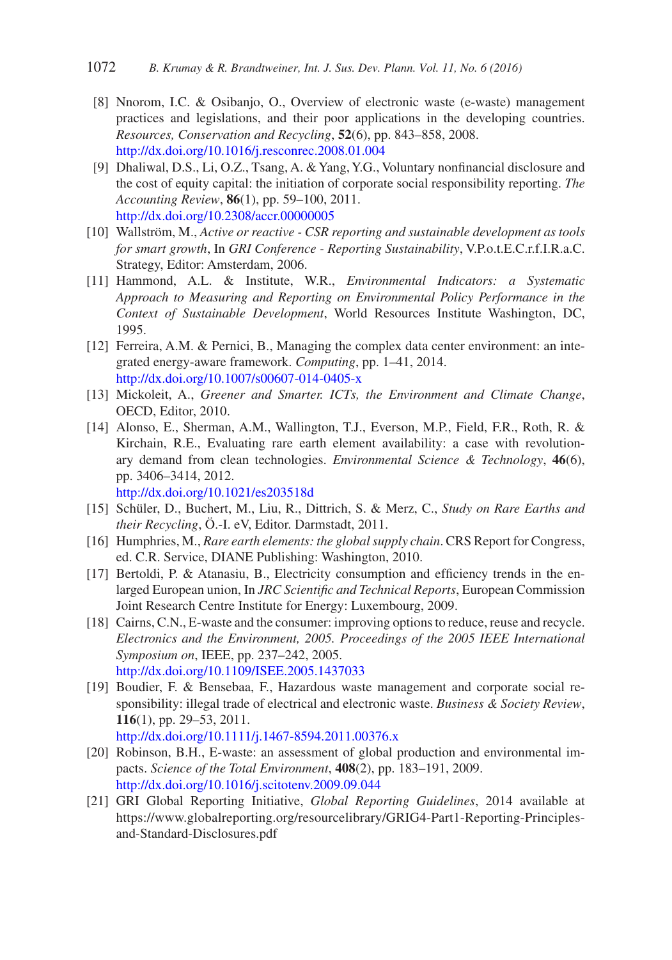- [8] Nnorom, I.C. & Osibanjo, O., Overview of electronic waste (e-waste) management practices and legislations, and their poor applications in the developing countries. *Resources, Conservation and Recycling*, **52**(6), pp. 843–858, 2008. [http://dx.doi.org/10.1016/j.resconrec.2008.01.004](http://dx.doi.org/10.1016/j.resconrec.2008.01.004
)
- [9] Dhaliwal, D.S., Li, O.Z., Tsang, A. & Yang, Y.G., Voluntary nonfinancial disclosure and the cost of equity capital: the initiation of corporate social responsibility reporting. *The Accounting Review*, **86**(1), pp. 59–100, 2011. [http://dx.doi.org/10.2308/accr.00000005](http://dx.doi.org/10.2308/accr.00000005
)
- [10] Wallström, M., *Active or reactive CSR reporting and sustainable development as tools for smart growth*, In *GRI Conference - Reporting Sustainability*, V.P.o.t.E.C.r.f.I.R.a.C. Strategy, Editor: Amsterdam, 2006.
- [11] Hammond, A.L. & Institute, W.R., *Environmental Indicators: a Systematic Approach to Measuring and Reporting on Environmental Policy Performance in the Context of Sustainable Development*, World Resources Institute Washington, DC, 1995.
- [12] Ferreira, A.M. & Pernici, B., Managing the complex data center environment: an integrated energy-aware framework. *Computing*, pp. 1–41, 2014. [http://dx.doi.org/10.1007/s00607-014-0405-x](http://dx.doi.org/10.1007/s00607-014-0405-x
)
- [13] Mickoleit, A., *Greener and Smarter. ICTs, the Environment and Climate Change*, OECD, Editor, 2010.
- [14] Alonso, E., Sherman, A.M., Wallington, T.J., Everson, M.P., Field, F.R., Roth, R. & Kirchain, R.E., Evaluating rare earth element availability: a case with revolutionary demand from clean technologies. *Environmental Science & Technology*, **46**(6), pp. 3406–3414, 2012.

[http://dx.doi.org/10.1021/es203518d](http://dx.doi.org/10.1021/es203518d
)

- [15] Schüler, D., Buchert, M., Liu, R., Dittrich, S. & Merz, C., *Study on Rare Earths and their Recycling*, Ö.-I. eV, Editor. Darmstadt, 2011.
- [16] Humphries, M., *Rare earth elements: the global supply chain*. CRS Report for Congress, ed. C.R. Service, DIANE Publishing: Washington, 2010.
- [17] Bertoldi, P. & Atanasiu, B., Electricity consumption and efficiency trends in the enlarged European union, In *JRC Scientific and Technical Reports*, European Commission Joint Research Centre Institute for Energy: Luxembourg, 2009.
- [18] Cairns, C.N., E-waste and the consumer: improving options to reduce, reuse and recycle. *Electronics and the Environment, 2005. Proceedings of the 2005 IEEE International Symposium on*, IEEE, pp. 237–242, 2005. [http://dx.doi.org/10.1109/ISEE.2005.1437033](http://dx.doi.org/10.1109/ISEE.2005.1437033
)
- [19] Boudier, F. & Bensebaa, F., Hazardous waste management and corporate social responsibility: illegal trade of electrical and electronic waste. *Business & Society Review*, **116**(1), pp. 29–53, 2011.
	- [http://dx.doi.org/10.1111/j.1467-8594.2011.00376.x](http://dx.doi.org/10.1111/j.1467-8594.2011.00376.x
)
- [20] Robinson, B.H., E-waste: an assessment of global production and environmental impacts. *Science of the Total Environment*, **408**(2), pp. 183–191, 2009. [http://dx.doi.org/10.1016/j.scitotenv.2009.09.044](http://dx.doi.org/10.1016/j.scitotenv.2009.09.044
)
- [21] GRI Global Reporting Initiative, *Global Reporting Guidelines*, 2014 available at https://www.globalreporting.org/resourcelibrary/GRIG4-Part1-Reporting-Principlesand-Standard-Disclosures.pdf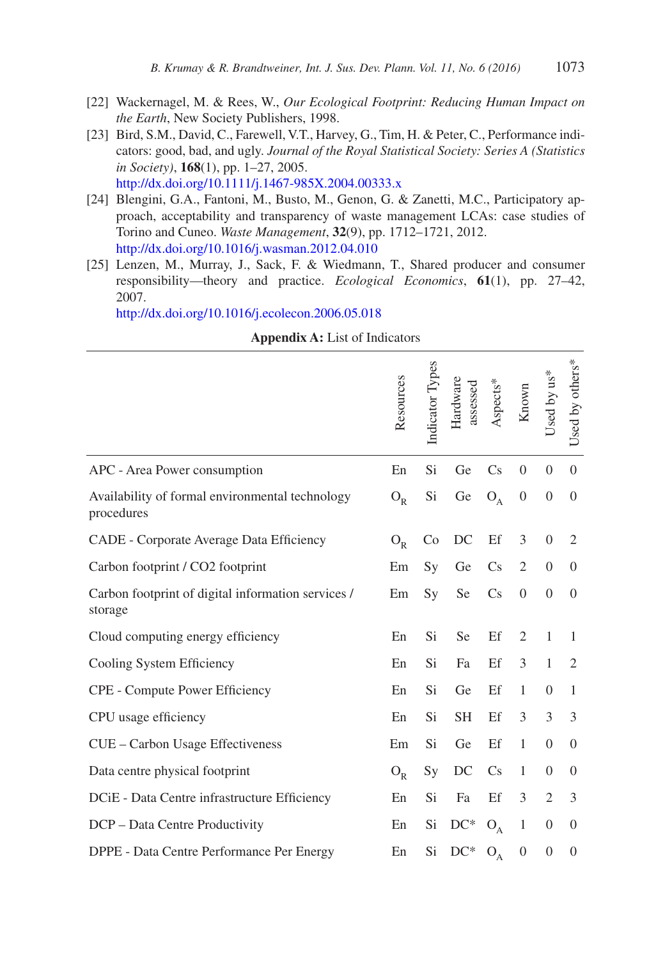- [22] Wackernagel, M. & Rees, W., *Our Ecological Footprint: Reducing Human Impact on the Earth*, New Society Publishers, 1998.
- [23] Bird, S.M., David, C., Farewell, V.T., Harvey, G., Tim, H. & Peter, C., Performance indicators: good, bad, and ugly. *Journal of the Royal Statistical Society: Series A (Statistics in Society)*, **168**(1), pp. 1–27, 2005. [http://dx.doi.org/10.1111/j.1467-985X.2004.00333.x](http://dx.doi.org/10.1111/j.1467-985X.2004.00333.x
)
- [24] Blengini, G.A., Fantoni, M., Busto, M., Genon, G. & Zanetti, M.C., Participatory approach, acceptability and transparency of waste management LCAs: case studies of Torino and Cuneo. *Waste Management*, **32**(9), pp. 1712–1721, 2012. [http://dx.doi.org/10.1016/j.wasman.2012.04.010](http://dx.doi.org/10.1016/j.wasman.2012.04.010
)
- [25] Lenzen, M., Murray, J., Sack, F. & Wiedmann, T., Shared producer and consumer responsibility—theory and practice. *Ecological Economics*, **61**(1), pp. 27–42, 2007.

[http://dx.doi.org/10.1016/j.ecolecon.2006.05.018](http://dx.doi.org/10.1016/j.ecolecon.2006.05.018
)

**Appendix A:** List of Indicators

|                                                               | Resources | Indicator Types | Hardware<br>assessed | Aspects* | Known            | Jsed by us*      | Used by others*  |
|---------------------------------------------------------------|-----------|-----------------|----------------------|----------|------------------|------------------|------------------|
| APC - Area Power consumption                                  | En        | Si              | Ge                   | Cs       | $\overline{0}$   | $\overline{0}$   | $\theta$         |
| Availability of formal environmental technology<br>procedures | $O_R$     | Si              | Ge                   | $O_A$    | $\boldsymbol{0}$ | $\overline{0}$   | $\overline{0}$   |
| CADE - Corporate Average Data Efficiency                      | $O_R$     | Co              | DC                   | Ef       | 3                | $\theta$         | $\overline{2}$   |
| Carbon footprint / CO2 footprint                              | Em        | Sy              | Ge                   | Cs       | $\overline{2}$   | $\boldsymbol{0}$ | $\theta$         |
| Carbon footprint of digital information services /<br>storage | Em        | Sy              | Se                   | Cs       | $\boldsymbol{0}$ | $\boldsymbol{0}$ | $\mathbf{0}$     |
| Cloud computing energy efficiency                             | En        | Si              | <b>Se</b>            | Ef       | $\overline{2}$   | $\mathbf{1}$     | 1                |
| Cooling System Efficiency                                     | En        | Si              | Fa                   | Ef       | 3                | $\mathbf{1}$     | 2                |
| CPE - Compute Power Efficiency                                | En        | Si              | Ge                   | Ef       | $\mathbf{1}$     | $\theta$         | $\mathbf{1}$     |
| CPU usage efficiency                                          | En        | Si              | <b>SH</b>            | Ef       | 3                | 3                | 3                |
| CUE - Carbon Usage Effectiveness                              | Em        | Si              | Ge                   | Ef       | 1                | $\boldsymbol{0}$ | $\boldsymbol{0}$ |
| Data centre physical footprint                                | $O_R$     | Sy              | DC                   | Cs       | $\mathbf{1}$     | $\theta$         | $\boldsymbol{0}$ |
| DCiE - Data Centre infrastructure Efficiency                  | En        | Si              | Fa                   | Ef       | 3                | $\mathfrak{2}$   | 3                |
| DCP - Data Centre Productivity                                | En        | Si              | $DC^*$               | $O_A$    | $\,1\,$          | $\boldsymbol{0}$ | $\boldsymbol{0}$ |
| DPPE - Data Centre Performance Per Energy                     | En        | Si              | $DC^*$               | $O_A$    | $\boldsymbol{0}$ | $\boldsymbol{0}$ | $\boldsymbol{0}$ |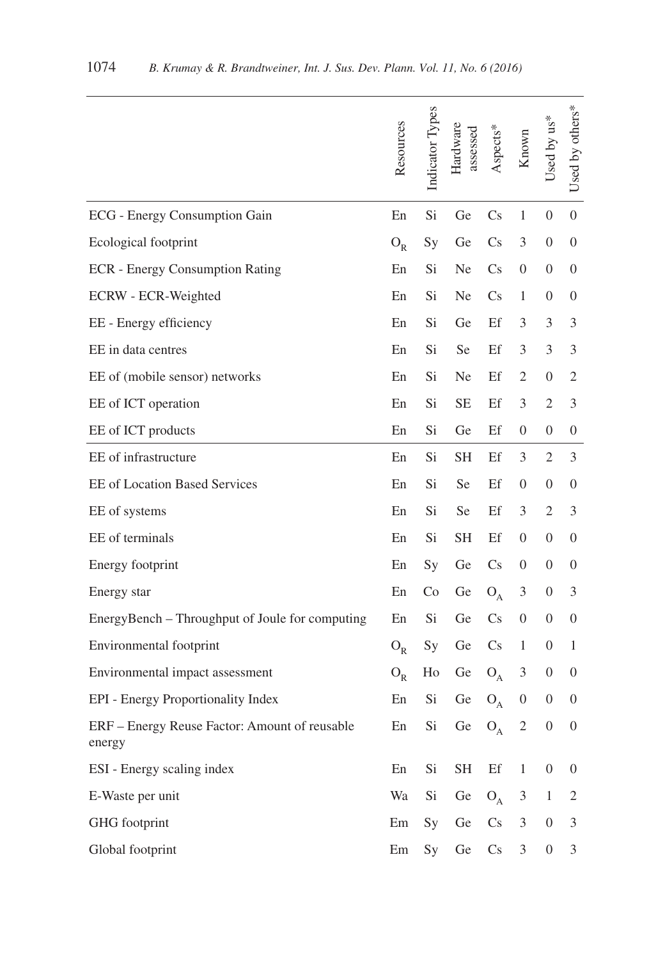|                                                         | Resources  | Indicator Types | Hardware<br>assessed | Aspects*               | Known            | Used by us*      | Used by others*  |
|---------------------------------------------------------|------------|-----------------|----------------------|------------------------|------------------|------------------|------------------|
| ECG - Energy Consumption Gain                           | En         | Si              | Ge                   | $\mathbf{C}$ s         | 1                | 0                | $\overline{0}$   |
| Ecological footprint                                    | $O_R$      | Sy              | Ge                   | $\mathbf{C}$ s         | 3                | 0                | $\overline{0}$   |
| <b>ECR</b> - Energy Consumption Rating                  | En         | Si              | Ne                   | $\mathbf{C}$ s         | $\boldsymbol{0}$ | $\overline{0}$   | $\theta$         |
| ECRW - ECR-Weighted                                     | ${\rm En}$ | Si              | Ne                   | $\mathbf{C}$ s         | 1                | 0                | $\overline{0}$   |
| EE - Energy efficiency                                  | En         | Si              | Ge                   | Ef                     | 3                | 3                | 3                |
| EE in data centres                                      | En         | Si              | Se                   | Ef                     | 3                | 3                | 3                |
| EE of (mobile sensor) networks                          | En         | Si              | Ne                   | Ef                     | 2                | 0                | 2                |
| EE of ICT operation                                     | En         | Si              | $\rm SE$             | Ef                     | 3                | 2                | 3                |
| EE of ICT products                                      | En         | Si              | Ge                   | Ef                     | $\theta$         | 0                | $\theta$         |
| EE of infrastructure                                    | En         | Si              | <b>SH</b>            | Ef                     | 3                | 2                | 3                |
| <b>EE</b> of Location Based Services                    | En         | Si              | Se                   | Ef                     | $\overline{0}$   | $\overline{0}$   | $\theta$         |
| EE of systems                                           | En         | Si              | Se                   | Ef                     | 3                | 2                | 3                |
| EE of terminals                                         | En         | Si              | <b>SH</b>            | Ef                     | $\theta$         | 0                | $\overline{0}$   |
| Energy footprint                                        | En         | <b>Sy</b>       | Ge                   | $\mathbf{C}\mathbf{s}$ | $\mathbf{0}$     | $\overline{0}$   | $\overline{0}$   |
| Energy star                                             | En         | Co              | Ge                   | $O_A$                  | 3                | $\overline{0}$   | 3                |
| EnergyBench - Throughput of Joule for computing         | En         | Si              | Ge                   | $\mathbf{C}\mathbf{s}$ | $\theta$         | 0                | $\theta$         |
| Environmental footprint                                 | $O_R$      | Sy              | Ge                   | $\mathbf{C}$ s         | 1                | $\overline{0}$   | 1                |
| Environmental impact assessment                         | $O_R$      | Ho              | Ge                   | $O_A$                  | 3                | $\overline{0}$   | $\boldsymbol{0}$ |
| EPI - Energy Proportionality Index                      | En         | Si              | Ge                   | $O_A$ 0                |                  | $0 \quad 0$      |                  |
| ERF - Energy Reuse Factor: Amount of reusable<br>energy | En         | Si              | Ge                   | $O_A$                  | $\sqrt{2}$       | $\boldsymbol{0}$ | $\boldsymbol{0}$ |
| ESI - Energy scaling index                              | En         | Si              | <b>SH</b>            | Ef                     | $\mathbf{1}$     | $\boldsymbol{0}$ | $\boldsymbol{0}$ |
| E-Waste per unit                                        | Wa         | Si              | Ge                   | $O_{A}$                | 3                | $\mathbf{1}$     | $\overline{2}$   |
| GHG footprint                                           | Em         | Sy              | Ge                   | Cs                     | 3                | $\boldsymbol{0}$ | 3                |
| Global footprint                                        | Em         | Sy              | Ge                   | $\mathbf{C}\mathbf{s}$ | 3                | $\boldsymbol{0}$ | 3                |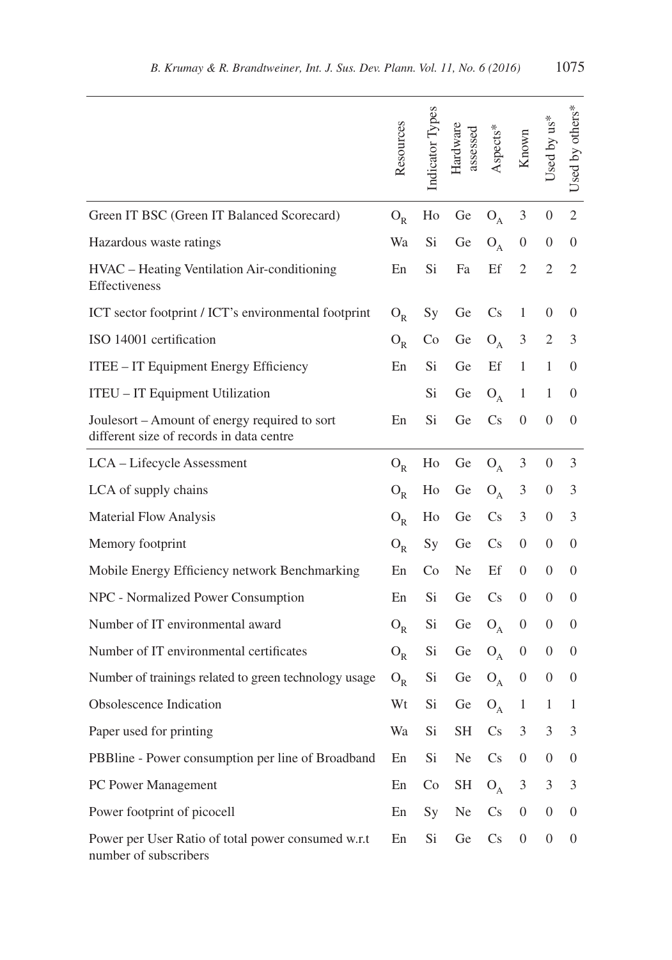|                                                                                           | Resources | Indicator lypes | Hardware<br>assessed | Aspects*               | Known            | $Used by us*$    | Used by others*  |
|-------------------------------------------------------------------------------------------|-----------|-----------------|----------------------|------------------------|------------------|------------------|------------------|
| Green IT BSC (Green IT Balanced Scorecard)                                                | $O_R$     | Ho              | Ge                   | $O_A$                  | 3                | $\overline{0}$   | $\overline{2}$   |
| Hazardous waste ratings                                                                   | Wa        | Si              | Ge                   | $O_A$                  | $\theta$         | 0                | $\theta$         |
| HVAC - Heating Ventilation Air-conditioning<br>Effectiveness                              | En        | Si              | Fa                   | Ef                     | $\overline{2}$   | $\mathfrak{2}$   | 2                |
| ICT sector footprint / ICT's environmental footprint                                      | $O_{R}$   | Sy              | Ge                   | $\mathbf{C}$ s         | 1                | 0                | $\theta$         |
| ISO 14001 certification                                                                   | $O_R$     | Co              | Ge                   | $O_A$                  | 3                | 2                | 3                |
| ITEE - IT Equipment Energy Efficiency                                                     | En        | Si              | Ge                   | Ef                     | $\mathbf{1}$     | $\mathbf{1}$     | $\theta$         |
| ITEU - IT Equipment Utilization                                                           |           | Si              | Ge                   | $O_A$                  | $\mathbf{1}$     | 1                | $\theta$         |
| Joulesort – Amount of energy required to sort<br>different size of records in data centre | En        | Si              | Ge                   | $\mathbf{C}$ s         | $\theta$         | $\overline{0}$   | $\theta$         |
| LCA - Lifecycle Assessment                                                                | $O_R$     | Ho              | Ge                   | $O_A$                  | 3                | $\overline{0}$   | 3                |
| LCA of supply chains                                                                      | $O_R$     | Ho              | Ge                   | $O_A$                  | 3                | $\overline{0}$   | 3                |
| <b>Material Flow Analysis</b>                                                             | $O_R$     | Ho              | Ge                   | $\mathbf{C}$ s         | 3                | $\overline{0}$   | 3                |
| Memory footprint                                                                          | $O_R$     | Sy              | Ge                   | $\mathbf{C}$ s         | $\theta$         | 0                | $\theta$         |
| Mobile Energy Efficiency network Benchmarking                                             | En        | Co              | Ne.                  | Ef                     | $\theta$         | $\overline{0}$   | $\mathbf{0}$     |
| NPC - Normalized Power Consumption                                                        | En        | Si.             | Ge                   | $\mathbf{C}$ s         | $\theta$         | $\overline{0}$   | $\theta$         |
| Number of IT environmental award                                                          | $O_R$     | Si              | Ge                   | $O_A$                  | $\mathbf{0}$     | $\overline{0}$   | $\theta$         |
| Number of IT environmental certificates                                                   | $O_R$     | Si              | Ge                   | $O_A$                  | $\mathbf{0}$     | $\overline{0}$   | $\theta$         |
| Number of trainings related to green technology usage                                     | $O_R$     | Si.             | Ge                   | $O_A$                  | $\boldsymbol{0}$ | $\overline{0}$   | $\theta$         |
| Obsolescence Indication                                                                   | Wt        | Si              | Ge                   | $O_A$                  | $\mathbf{1}$     | 1                | 1                |
| Paper used for printing                                                                   | Wa        | Si              | <b>SH</b>            | $\mathbf{C}\mathbf{s}$ | 3                | 3                | 3                |
| PBBline - Power consumption per line of Broadband                                         | En        | Si              | Ne                   | $\mathbb{C}$ s         | $\boldsymbol{0}$ | $\boldsymbol{0}$ | $\boldsymbol{0}$ |
| PC Power Management                                                                       | En        | Co              | SH                   | $O_A$                  | 3                | 3                | 3                |
| Power footprint of picocell                                                               | En        | <b>Sy</b>       | Ne                   | $\mathbf{C}\mathbf{s}$ | $\overline{0}$   | $\overline{0}$   | $\boldsymbol{0}$ |
| Power per User Ratio of total power consumed w.r.t<br>number of subscribers               | En        | Si              | Ge                   | $\mathbf{C}\mathbf{s}$ | $\boldsymbol{0}$ | $\overline{0}$   | $\boldsymbol{0}$ |